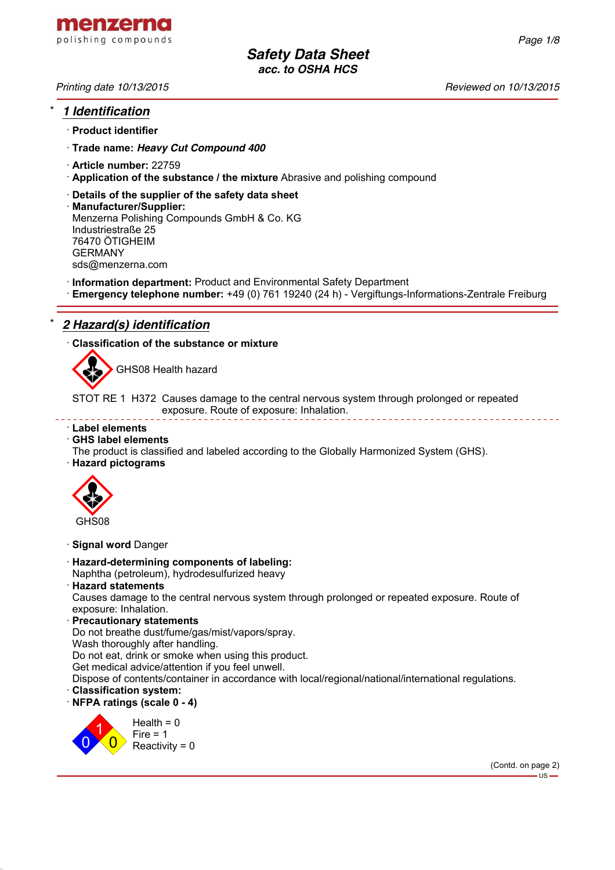

*Printing date 10/13/2015 Reviewed on 10/13/2015*

# \* *1 Identification*

· **Product identifier**

· **Trade name:** *Heavy Cut Compound 400*

- · **Article number:** 22759
- · **Application of the substance / the mixture** Abrasive and polishing compound
- · **Details of the supplier of the safety data sheet**
- · **Manufacturer/Supplier:** Menzerna Polishing Compounds GmbH & Co. KG Industriestraße 25 76470 ÖTIGHEIM GERMANY sds@menzerna.com
- · **Information department:** Product and Environmental Safety Department
- · **Emergency telephone number:** +49 (0) 761 19240 (24 h) Vergiftungs-Informations-Zentrale Freiburg

# \* *2 Hazard(s) identification*

· **Classification of the substance or mixture**



GHS08 Health hazard

STOT RE 1 H372 Causes damage to the central nervous system through prolonged or repeated exposure. Route of exposure: Inhalation.

### · **Label elements**

### · **GHS label elements**

- The product is classified and labeled according to the Globally Harmonized System (GHS).
- · **Hazard pictograms**



· **Signal word** Danger

- · **Hazard-determining components of labeling:** Naphtha (petroleum), hydrodesulfurized heavy
- · **Hazard statements**

Causes damage to the central nervous system through prolonged or repeated exposure. Route of exposure: Inhalation.

· **Precautionary statements**

Do not breathe dust/fume/gas/mist/vapors/spray.

Wash thoroughly after handling.

Do not eat, drink or smoke when using this product.

Get medical advice/attention if you feel unwell.

Dispose of contents/container in accordance with local/regional/national/international regulations.

- · **Classification system:**
- · **NFPA ratings (scale 0 4)**



*Page 1/8*

(Contd. on page 2)  $-$ us -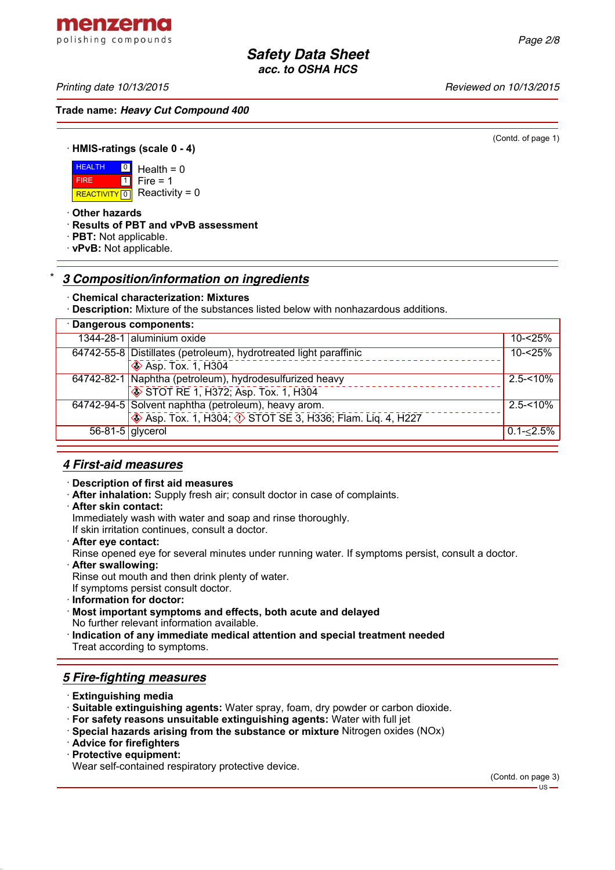*Printing date 10/13/2015 Reviewed on 10/13/2015*

menzerna polishing compounds

**Trade name:** *Heavy Cut Compound 400*

(Contd. of page 1)

· **HMIS-ratings (scale 0 - 4)**

**HEALTH** REACTIVITY  $\boxed{0}$  Reactivity = 0  $\boxed{0}$  $\overline{1}$  $Health = 0$  $Fire = 1$ 

· **Other hazards**

FIRE

- · **Results of PBT and vPvB assessment**
- · **PBT:** Not applicable.
- · **vPvB:** Not applicable.

# \* *3 Composition/information on ingredients*

### · **Chemical characterization: Mixtures**

· **Description:** Mixture of the substances listed below with nonhazardous additions.

|                    | · Dangerous components:                                                                         |               |
|--------------------|-------------------------------------------------------------------------------------------------|---------------|
|                    | 1344-28-1 aluminium oxide                                                                       | $10 - 25%$    |
|                    | 64742-55-8 Distillates (petroleum), hydrotreated light paraffinic<br><b>S</b> Asp. Tox. 1, H304 | 10-<25%       |
|                    | 64742-82-1 Naphtha (petroleum), hydrodesulfurized heavy<br>STOT RE 1, H372; Asp. Tox. 1, H304   | $2.5 - 10%$   |
|                    | 64742-94-5 Solvent naphtha (petroleum), heavy arom.<br>STOT SE 3, H336; Flam. Liq. 4, H227      | $2.5 - 10%$   |
| $56-81-5$ glycerol |                                                                                                 | $0.1 - 2.5\%$ |

### *4 First-aid measures*

#### · **Description of first aid measures**

· **After inhalation:** Supply fresh air; consult doctor in case of complaints.

· **After skin contact:**

Immediately wash with water and soap and rinse thoroughly.

If skin irritation continues, consult a doctor.

· **After eye contact:**

Rinse opened eye for several minutes under running water. If symptoms persist, consult a doctor.

· **After swallowing:**

Rinse out mouth and then drink plenty of water.

If symptoms persist consult doctor.

· **Information for doctor:**

· **Most important symptoms and effects, both acute and delayed**

- No further relevant information available.
- · **Indication of any immediate medical attention and special treatment needed** Treat according to symptoms.

# *5 Fire-fighting measures*

- · **Extinguishing media**
- · **Suitable extinguishing agents:** Water spray, foam, dry powder or carbon dioxide.
- · **For safety reasons unsuitable extinguishing agents:** Water with full jet
- · **Special hazards arising from the substance or mixture** Nitrogen oxides (NOx)
- · **Advice for firefighters**
- · **Protective equipment:**

Wear self-contained respiratory protective device.

(Contd. on page 3)  $-11S -$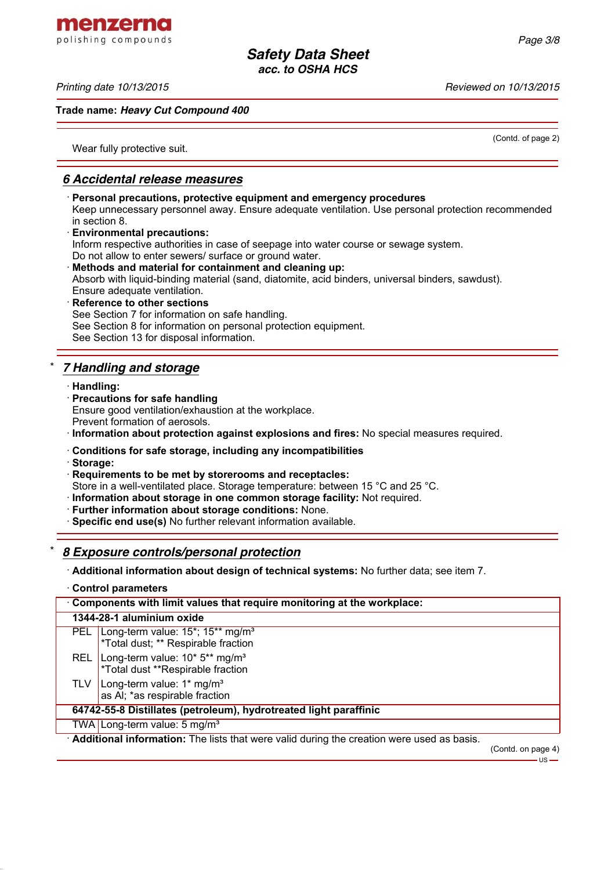menzerna polishing compounds

#### *Printing date 10/13/2015 Reviewed on 10/13/2015*

### **Trade name:** *Heavy Cut Compound 400*

(Contd. of page 2)

Wear fully protective suit.

# *6 Accidental release measures*

· **Personal precautions, protective equipment and emergency procedures** Keep unnecessary personnel away. Ensure adequate ventilation. Use personal protection recommended in section 8. · **Environmental precautions:** Inform respective authorities in case of seepage into water course or sewage system. Do not allow to enter sewers/ surface or ground water. · **Methods and material for containment and cleaning up:** Absorb with liquid-binding material (sand, diatomite, acid binders, universal binders, sawdust). Ensure adequate ventilation. **Reference to other sections** See Section 7 for information on safe handling. See Section 8 for information on personal protection equipment. See Section 13 for disposal information.

# \* *7 Handling and storage*

- · **Handling:**
- · **Precautions for safe handling** Ensure good ventilation/exhaustion at the workplace. Prevent formation of aerosols.
- · **Information about protection against explosions and fires:** No special measures required.
- · **Conditions for safe storage, including any incompatibilities**
- · **Storage:**
- · **Requirements to be met by storerooms and receptacles:**
- Store in a well-ventilated place. Storage temperature: between 15 °C and 25 °C.
- · **Information about storage in one common storage facility:** Not required.
- · **Further information about storage conditions:** None.
- · **Specific end use(s)** No further relevant information available.

# \* *8 Exposure controls/personal protection*

· **Additional information about design of technical systems:** No further data; see item 7.

· **Control parameters**

| Components with limit values that require monitoring at the workplace:                    |                                                                                                                  |  |  |
|-------------------------------------------------------------------------------------------|------------------------------------------------------------------------------------------------------------------|--|--|
| 1344-28-1 aluminium oxide                                                                 |                                                                                                                  |  |  |
|                                                                                           | PEL Long-term value: 15 <sup>*</sup> ; 15 <sup>**</sup> mg/m <sup>3</sup><br>*Total dust; ** Respirable fraction |  |  |
|                                                                                           | REL Long-term value: $10*5**$ mg/m <sup>3</sup><br>*Total dust **Respirable fraction                             |  |  |
|                                                                                           | TLV   Long-term value: $1*$ mg/m <sup>3</sup><br>as AI; *as respirable fraction                                  |  |  |
| 64742-55-8 Distillates (petroleum), hydrotreated light paraffinic                         |                                                                                                                  |  |  |
|                                                                                           | TWA Long-term value: 5 mg/m <sup>3</sup>                                                                         |  |  |
| Additional information: The lists that were valid during the creation were used as basis. |                                                                                                                  |  |  |

(Contd. on page 4)

 $-US -$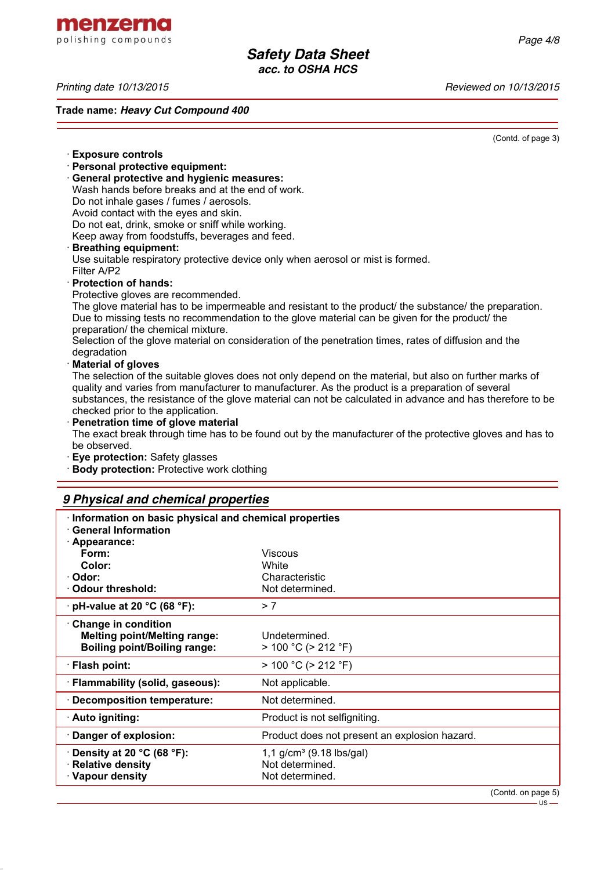menzerna polishing compounds

**Relative density** 

· **Vapour density Not determined.** 

*Printing date 10/13/2015 Reviewed on 10/13/2015*

**Trade name:** *Heavy Cut Compound 400*

(Contd. of page 3)

· **Exposure controls** · **Personal protective equipment:** · **General protective and hygienic measures:** Wash hands before breaks and at the end of work. Do not inhale gases / fumes / aerosols. Avoid contact with the eyes and skin. Do not eat, drink, smoke or sniff while working. Keep away from foodstuffs, beverages and feed. · **Breathing equipment:** Use suitable respiratory protective device only when aerosol or mist is formed. Filter A/P2 · **Protection of hands:** Protective gloves are recommended. The glove material has to be impermeable and resistant to the product/ the substance/ the preparation. Due to missing tests no recommendation to the glove material can be given for the product/ the preparation/ the chemical mixture. Selection of the glove material on consideration of the penetration times, rates of diffusion and the degradation · **Material of gloves** The selection of the suitable gloves does not only depend on the material, but also on further marks of quality and varies from manufacturer to manufacturer. As the product is a preparation of several substances, the resistance of the glove material can not be calculated in advance and has therefore to be checked prior to the application. · **Penetration time of glove material** The exact break through time has to be found out by the manufacturer of the protective gloves and has to be observed. · **Eye protection:** Safety glasses · **Body protection:** Protective work clothing *9 Physical and chemical properties* · **Information on basic physical and chemical properties** · **General Information** · **Appearance: Form:** Viscous **Color:** White · **Odor:** Characteristic · **Odour threshold:** Not determined. · **pH-value at 20 °C (68 °F):** > 7 · **Change in condition Melting point/Melting range:** Undetermined. **Boiling point/Boiling range:** > 100 °C (> 212 °F) · **Flash point:** > 100 °C (> 212 °F) · **Flammability (solid, gaseous):** Not applicable. · **Decomposition temperature:** Not determined. · **Auto igniting:** Product is not selfigniting.

· **Danger of explosion:** Product does not present an explosion hazard. **Density at 20 °C (68 °F):** 1,1 g/cm<sup>3</sup> (9.18 lbs/gal)<br> **Relative density Not determined.** 

(Contd. on page 5)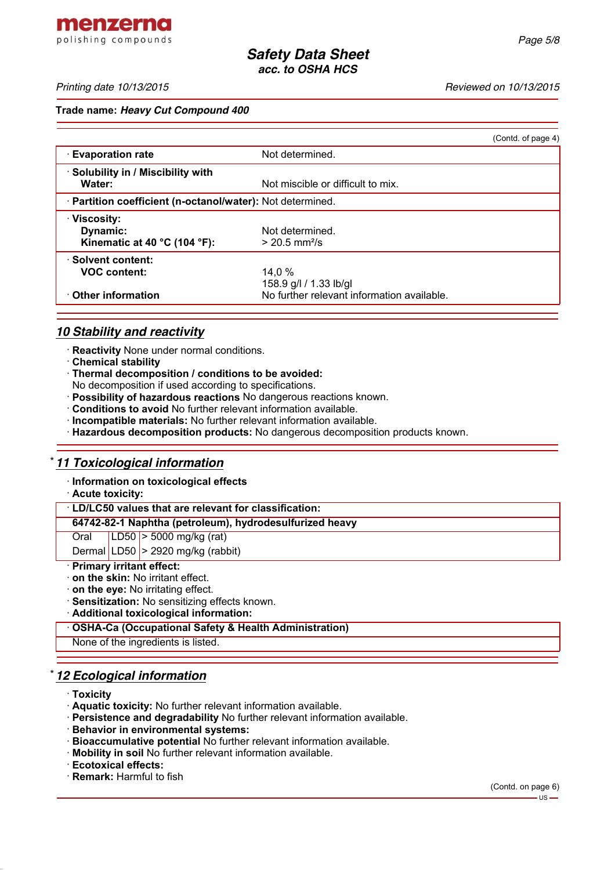*Page 5/8*

### **Trade name:** *Heavy Cut Compound 400*

|                                                                              |                                                                                | (Contd. of page 4) |
|------------------------------------------------------------------------------|--------------------------------------------------------------------------------|--------------------|
| <b>Evaporation rate</b>                                                      | Not determined.                                                                |                    |
| · Solubility in / Miscibility with<br>Water:                                 | Not miscible or difficult to mix.                                              |                    |
| · Partition coefficient (n-octanol/water): Not determined.                   |                                                                                |                    |
| · Viscosity:<br>Dynamic:<br>Kinematic at 40 $^{\circ}$ C (104 $^{\circ}$ F): | Not determined.<br>$> 20.5$ mm <sup>2</sup> /s                                 |                    |
| · Solvent content:<br><b>VOC content:</b><br>$\cdot$ Other information       | 14.0 %<br>158.9 g/l / 1.33 lb/gl<br>No further relevant information available. |                    |
|                                                                              |                                                                                |                    |

# *10 Stability and reactivity*

- · **Reactivity** None under normal conditions.
- · **Chemical stability**
- · **Thermal decomposition / conditions to be avoided:**
- No decomposition if used according to specifications.
- · **Possibility of hazardous reactions** No dangerous reactions known.
- · **Conditions to avoid** No further relevant information available.
- · **Incompatible materials:** No further relevant information available.
- · **Hazardous decomposition products:** No dangerous decomposition products known.

# \* *11 Toxicological information*

· **Information on toxicological effects**

· **Acute toxicity:**

### · **LD/LC50 values that are relevant for classification:**

**64742-82-1 Naphtha (petroleum), hydrodesulfurized heavy**

Oral LD50 > 5000 mg/kg (rat)

Dermal LD50  $>$  2920 mg/kg (rabbit)

- · **Primary irritant effect:**
- · **on the skin:** No irritant effect.
- · **on the eye:** No irritating effect.
- · **Sensitization:** No sensitizing effects known.
- · **Additional toxicological information:**
- · **OSHA-Ca (Occupational Safety & Health Administration)**

None of the ingredients is listed.

# \* *12 Ecological information*

- · **Toxicity**
- · **Aquatic toxicity:** No further relevant information available.
- · **Persistence and degradability** No further relevant information available.
- · **Behavior in environmental systems:**
- · **Bioaccumulative potential** No further relevant information available.
- · **Mobility in soil** No further relevant information available.
- · **Ecotoxical effects:**
- · **Remark:** Harmful to fish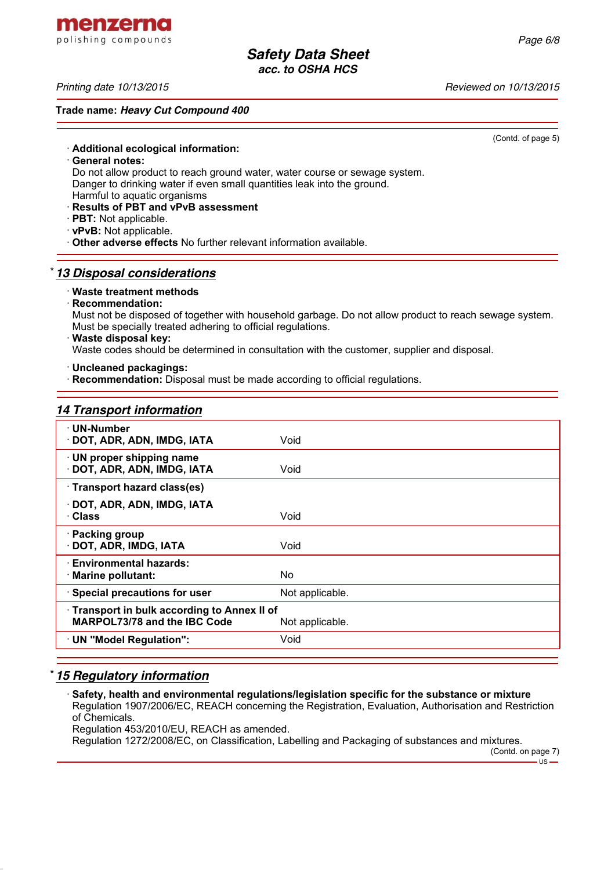*Printing date 10/13/2015 Reviewed on 10/13/2015*

### **Trade name:** *Heavy Cut Compound 400*

(Contd. of page 5)

- · **Additional ecological information:**
- · **General notes:**
- Do not allow product to reach ground water, water course or sewage system. Danger to drinking water if even small quantities leak into the ground.
- Harmful to aquatic organisms
- · **Results of PBT and vPvB assessment**
- · **PBT:** Not applicable.
- · **vPvB:** Not applicable.
- · **Other adverse effects** No further relevant information available.

# \* *13 Disposal considerations*

### · **Waste treatment methods**

· **Recommendation:**

Must not be disposed of together with household garbage. Do not allow product to reach sewage system. Must be specially treated adhering to official regulations.

· **Waste disposal key:**

Waste codes should be determined in consultation with the customer, supplier and disposal.

· **Uncleaned packagings:**

· **Recommendation:** Disposal must be made according to official regulations.

# *14 Transport information*

| · UN-Number                                |                 |  |
|--------------------------------------------|-----------------|--|
| · DOT, ADR, ADN, IMDG, IATA                | Void            |  |
| · UN proper shipping name                  |                 |  |
| · DOT, ADR, ADN, IMDG, IATA                | Void            |  |
|                                            |                 |  |
| · Transport hazard class(es)               |                 |  |
| DOT, ADR, ADN, IMDG, IATA                  |                 |  |
| · Class                                    | Void            |  |
|                                            |                 |  |
| · Packing group                            |                 |  |
| DOT, ADR, IMDG, IATA                       | Void            |  |
| · Environmental hazards:                   |                 |  |
| · Marine pollutant:                        | No              |  |
|                                            |                 |  |
| · Special precautions for user             | Not applicable. |  |
| Transport in bulk according to Annex II of |                 |  |
| MARPOL73/78 and the IBC Code               | Not applicable. |  |
| · UN "Model Regulation":                   | Void            |  |
|                                            |                 |  |

# \* *15 Regulatory information*

· **Safety, health and environmental regulations/legislation specific for the substance or mixture** Regulation 1907/2006/EC, REACH concerning the Registration, Evaluation, Authorisation and Restriction of Chemicals.

Regulation 453/2010/EU, REACH as amended.

Regulation 1272/2008/EC, on Classification, Labelling and Packaging of substances and mixtures.

(Contd. on page 7)

 $-$ 

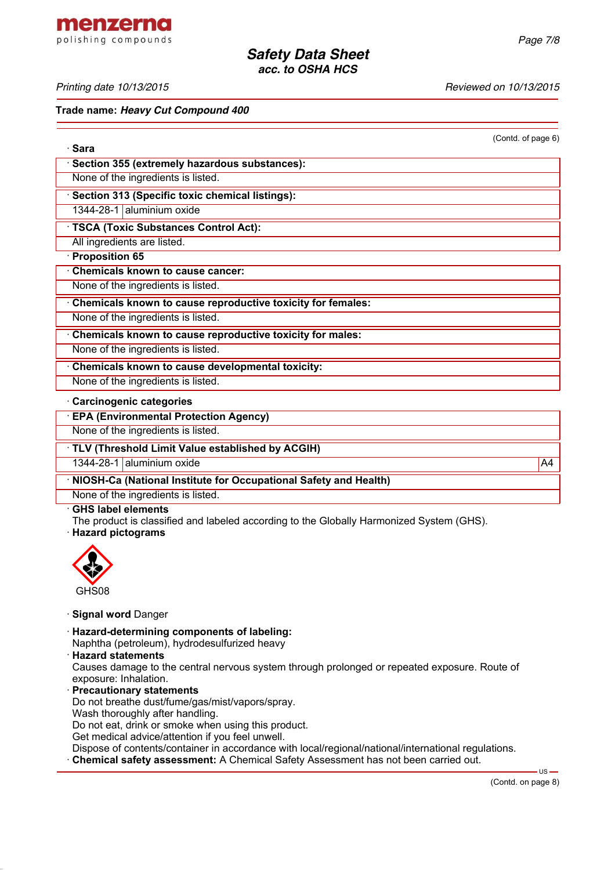menzerna polishing compounds

*Printing date 10/13/2015 Reviewed on 10/13/2015*

#### **Trade name:** *Heavy Cut Compound 400*

(Contd. of page 6)

| · Sara                                                      |    |
|-------------------------------------------------------------|----|
| Section 355 (extremely hazardous substances):               |    |
| None of the ingredients is listed.                          |    |
| · Section 313 (Specific toxic chemical listings):           |    |
| 1344-28-1 aluminium oxide                                   |    |
| TSCA (Toxic Substances Control Act):                        |    |
| All ingredients are listed.                                 |    |
| Proposition 65                                              |    |
| <b>Chemicals known to cause cancer:</b>                     |    |
| None of the ingredients is listed.                          |    |
| Chemicals known to cause reproductive toxicity for females: |    |
| None of the ingredients is listed.                          |    |
| Chemicals known to cause reproductive toxicity for males:   |    |
| None of the ingredients is listed.                          |    |
| Chemicals known to cause developmental toxicity:            |    |
| None of the ingredients is listed.                          |    |
| Carcinogenic categories                                     |    |
| <b>EPA (Environmental Protection Agency)</b>                |    |
| None of the ingredients is listed.                          |    |
| · TLV (Threshold Limit Value established by ACGIH)          |    |
| 1344-28-1 aluminium oxide                                   | A4 |

· **NIOSH-Ca (National Institute for Occupational Safety and Health)**

None of the ingredients is listed.

### · **GHS label elements**

The product is classified and labeled according to the Globally Harmonized System (GHS).

· **Hazard pictograms**



- · **Signal word** Danger
- · **Hazard-determining components of labeling:** Naphtha (petroleum), hydrodesulfurized heavy
- · **Hazard statements**

Causes damage to the central nervous system through prolonged or repeated exposure. Route of exposure: Inhalation.

- · **Precautionary statements** Do not breathe dust/fume/gas/mist/vapors/spray. Wash thoroughly after handling. Do not eat, drink or smoke when using this product. Get medical advice/attention if you feel unwell. Dispose of contents/container in accordance with local/regional/national/international regulations.
- · **Chemical safety assessment:** A Chemical Safety Assessment has not been carried out.

 $\overline{US}$